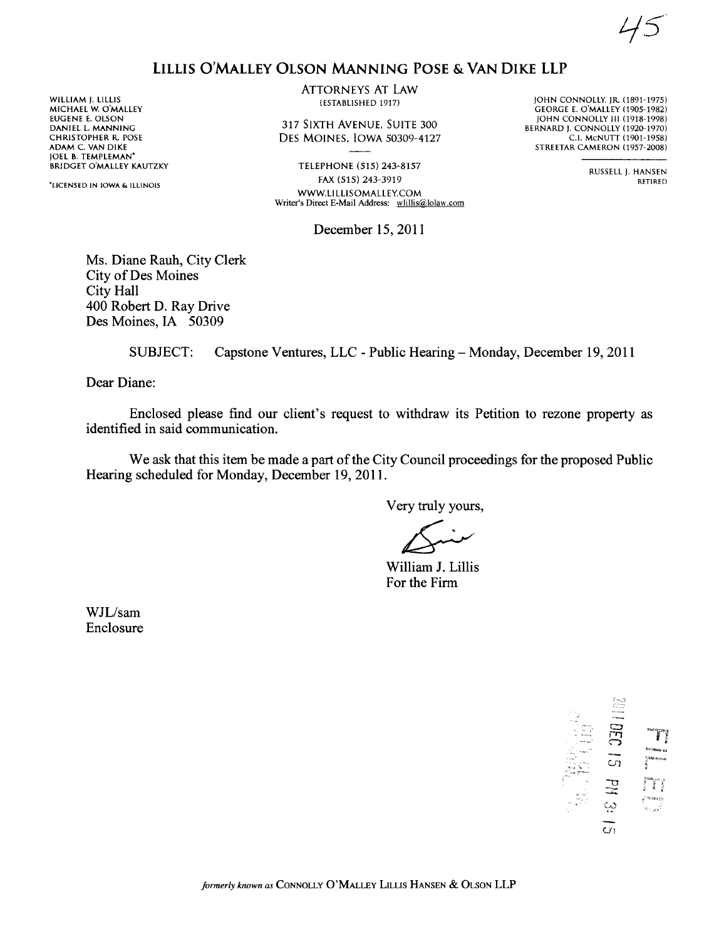$\lt$ 45

## LILLIS O'MALLEY OLSON MANING POSE & VAN DIKE LLP

WILLIAM J. LILLIS MICHAEL W. O'MALLEY EUGENE E. OLSON DANIEL L MANNING CHRISTOPHER R. POSE ADAM C. VAN DIKE JOEL B. TEMPLEMAN' BRIDGET O'MALLEY KAUTZKY

'LICENSED IN IOWA & ILLINOIS

ATTORNEYS AT LAw (ESTABLISHED 1917)

317 SIXTH AVENUE, SUITE 300 DES MOINES. IOWA 50309-4127

TELEPHONE (515) 243-8157 FAX (515) 243-3919 WW.L1LLlSOMALLEY.COM Writer's Direct E-Mail Address: wlillis@lolaw.com

lOHN CONNOLLY. lR. (1891-1975) GEORGE E. O'MALLEY (1905-1982) JOHN CONNOLLY III (1918-1998) BERNARD j. CONNOLLY (1920-1970) c.!. McNUTT (1901-1958) STREETAR CAMERON (1957-2008)

> RUSSELL J. HANSEN RETIRED

December 15, 2011

Ms. Diane Rauh, City Clerk City of Des Moines City Hall 400 Robert D. Ray Drive Des Moines, IA 50309

SUBJECT: Capstone Ventures, LLC - Public Hearing - Monday, December 19,2011

Dear Diane:

Enclosed please find our client's request to withdraw its Petition to rezone property as identified in said communication.

We ask that this item be made a part of the City Council proceedings for the proposed Public Hearing scheduled for Monday, December 19, 2011.

Very truly yours,

 $\sum$ <br> $\sum$  illiam J.

Wiliam J. Lilis For the Firm

WJL/sam Enclosure

r. DEC e.<br>Ce.t.washin y;....'.. U'l ..., "- (,0  $\vec{a}$